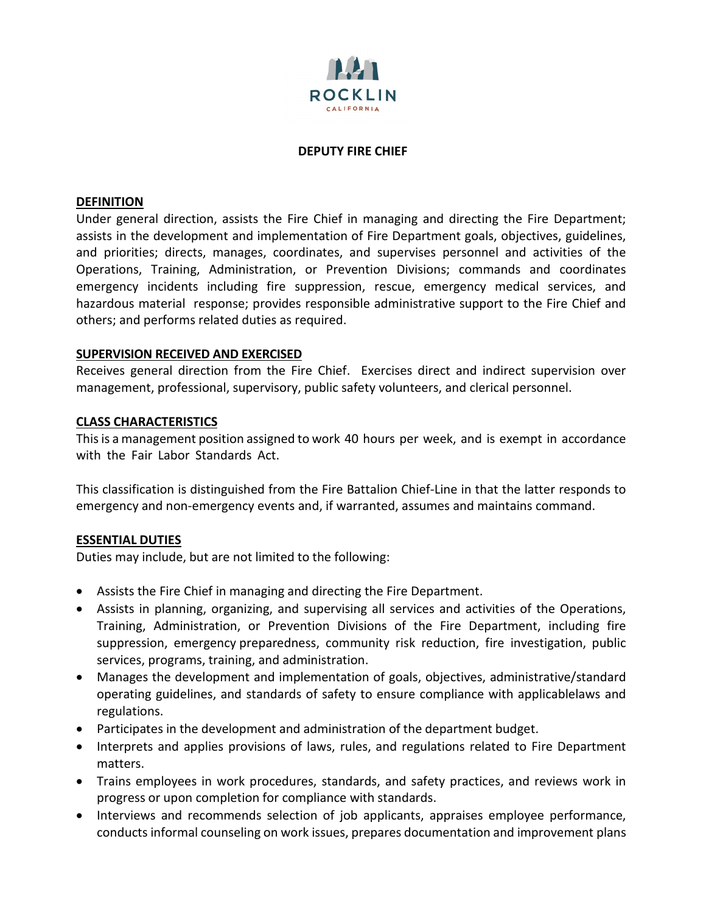

### **DEPUTY FIRE CHIEF**

#### **DEFINITION**

Under general direction, assists the Fire Chief in managing and directing the Fire Department; assists in the development and implementation of Fire Department goals, objectives, guidelines, and priorities; directs, manages, coordinates, and supervises personnel and activities of the Operations, Training, Administration, or Prevention Divisions; commands and coordinates emergency incidents including fire suppression, rescue, emergency medical services, and hazardous material response; provides responsible administrative support to the Fire Chief and others; and performs related duties as required.

#### **SUPERVISION RECEIVED AND EXERCISED**

Receives general direction from the Fire Chief. Exercises direct and indirect supervision over management, professional, supervisory, public safety volunteers, and clerical personnel.

### **CLASS CHARACTERISTICS**

Thisis a management position assigned to work 40 hours per week, and is exempt in accordance with the Fair Labor Standards Act.

This classification is distinguished from the Fire Battalion Chief-Line in that the latter responds to emergency and non-emergency events and, if warranted, assumes and maintains command.

#### **ESSENTIAL DUTIES**

Duties may include, but are not limited to the following:

- Assists the Fire Chief in managing and directing the Fire Department.
- Assists in planning, organizing, and supervising all services and activities of the Operations, Training, Administration, or Prevention Divisions of the Fire Department, including fire suppression, emergency preparedness, community risk reduction, fire investigation, public services, programs, training, and administration.
- Manages the development and implementation of goals, objectives, administrative/standard operating guidelines, and standards of safety to ensure compliance with applicablelaws and regulations.
- Participates in the development and administration of the department budget.
- Interprets and applies provisions of laws, rules, and regulations related to Fire Department matters.
- Trains employees in work procedures, standards, and safety practices, and reviews work in progress or upon completion for compliance with standards.
- Interviews and recommends selection of job applicants, appraises employee performance, conducts informal counseling on work issues, prepares documentation and improvement plans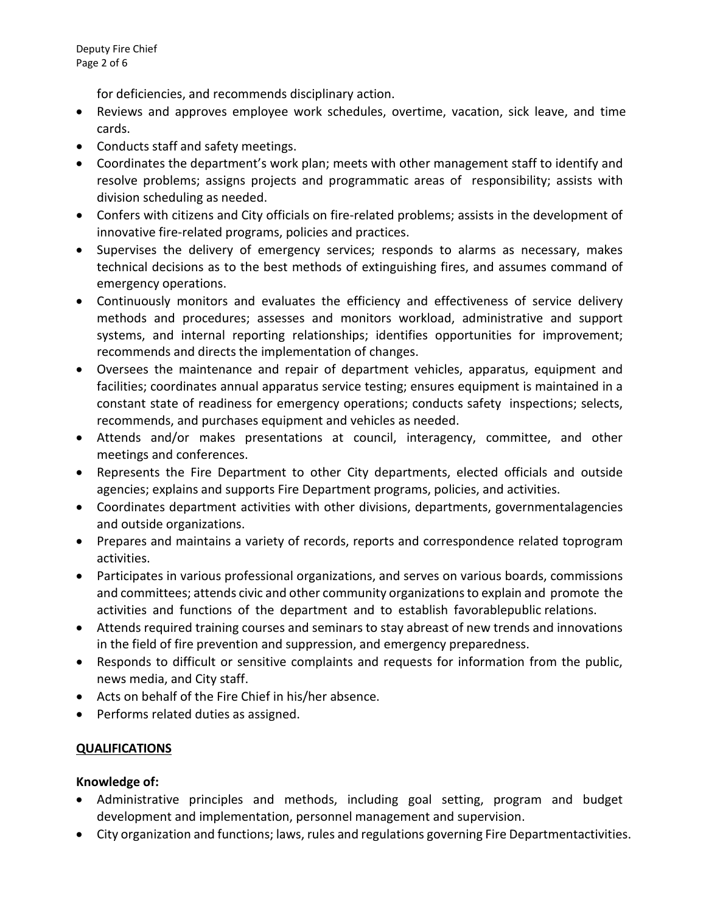for deficiencies, and recommends disciplinary action.

- Reviews and approves employee work schedules, overtime, vacation, sick leave, and time cards.
- Conducts staff and safety meetings.
- Coordinates the department's work plan; meets with other management staff to identify and resolve problems; assigns projects and programmatic areas of responsibility; assists with division scheduling as needed.
- Confers with citizens and City officials on fire-related problems; assists in the development of innovative fire-related programs, policies and practices.
- Supervises the delivery of emergency services; responds to alarms as necessary, makes technical decisions as to the best methods of extinguishing fires, and assumes command of emergency operations.
- Continuously monitors and evaluates the efficiency and effectiveness of service delivery methods and procedures; assesses and monitors workload, administrative and support systems, and internal reporting relationships; identifies opportunities for improvement; recommends and directs the implementation of changes.
- Oversees the maintenance and repair of department vehicles, apparatus, equipment and facilities; coordinates annual apparatus service testing; ensures equipment is maintained in a constant state of readiness for emergency operations; conducts safety inspections; selects, recommends, and purchases equipment and vehicles as needed.
- Attends and/or makes presentations at council, interagency, committee, and other meetings and conferences.
- Represents the Fire Department to other City departments, elected officials and outside agencies; explains and supports Fire Department programs, policies, and activities.
- Coordinates department activities with other divisions, departments, governmentalagencies and outside organizations.
- Prepares and maintains a variety of records, reports and correspondence related toprogram activities.
- Participates in various professional organizations, and serves on various boards, commissions and committees; attends civic and other community organizations to explain and promote the activities and functions of the department and to establish favorablepublic relations.
- Attends required training courses and seminars to stay abreast of new trends and innovations in the field of fire prevention and suppression, and emergency preparedness.
- Responds to difficult or sensitive complaints and requests for information from the public, news media, and City staff.
- Acts on behalf of the Fire Chief in his/her absence.
- Performs related duties as assigned.

# **QUALIFICATIONS**

# **Knowledge of:**

- Administrative principles and methods, including goal setting, program and budget development and implementation, personnel management and supervision.
- City organization and functions; laws, rules and regulations governing Fire Departmentactivities.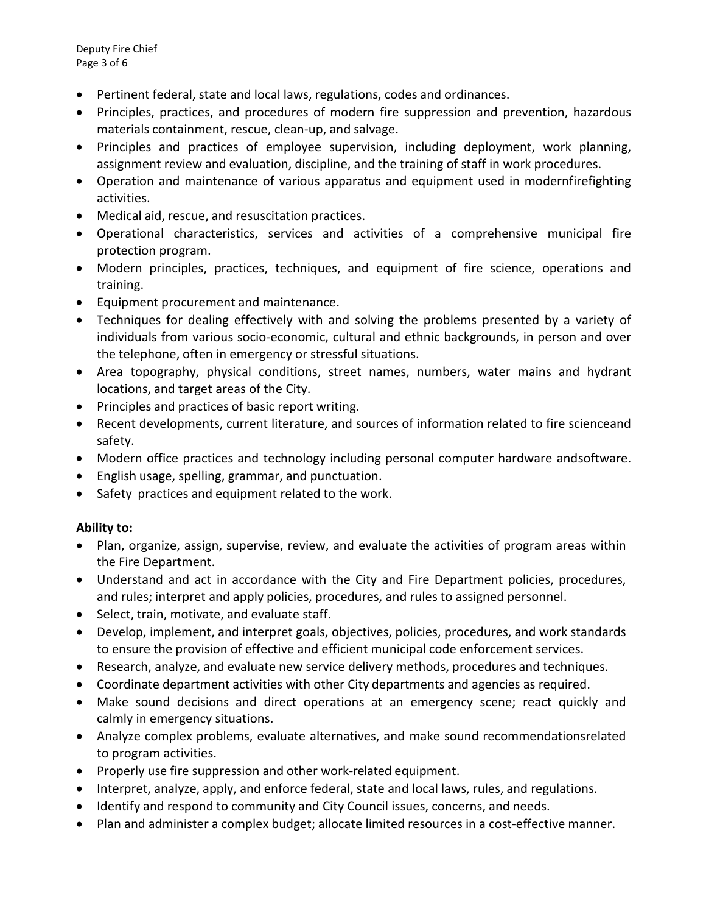Deputy Fire Chief Page 3 of 6

- Pertinent federal, state and local laws, regulations, codes and ordinances.
- Principles, practices, and procedures of modern fire suppression and prevention, hazardous materials containment, rescue, clean-up, and salvage.
- Principles and practices of employee supervision, including deployment, work planning, assignment review and evaluation, discipline, and the training of staff in work procedures.
- Operation and maintenance of various apparatus and equipment used in modernfirefighting activities.
- Medical aid, rescue, and resuscitation practices.
- Operational characteristics, services and activities of a comprehensive municipal fire protection program.
- Modern principles, practices, techniques, and equipment of fire science, operations and training.
- Equipment procurement and maintenance.
- Techniques for dealing effectively with and solving the problems presented by a variety of individuals from various socio-economic, cultural and ethnic backgrounds, in person and over the telephone, often in emergency or stressful situations.
- Area topography, physical conditions, street names, numbers, water mains and hydrant locations, and target areas of the City.
- Principles and practices of basic report writing.
- Recent developments, current literature, and sources of information related to fire scienceand safety.
- Modern office practices and technology including personal computer hardware andsoftware.
- English usage, spelling, grammar, and punctuation.
- Safety practices and equipment related to the work.

## **Ability to:**

- Plan, organize, assign, supervise, review, and evaluate the activities of program areas within the Fire Department.
- Understand and act in accordance with the City and Fire Department policies, procedures, and rules; interpret and apply policies, procedures, and rules to assigned personnel.
- Select, train, motivate, and evaluate staff.
- Develop, implement, and interpret goals, objectives, policies, procedures, and work standards to ensure the provision of effective and efficient municipal code enforcement services.
- Research, analyze, and evaluate new service delivery methods, procedures and techniques.
- Coordinate department activities with other City departments and agencies as required.
- Make sound decisions and direct operations at an emergency scene; react quickly and calmly in emergency situations.
- Analyze complex problems, evaluate alternatives, and make sound recommendationsrelated to program activities.
- Properly use fire suppression and other work-related equipment.
- Interpret, analyze, apply, and enforce federal, state and local laws, rules, and regulations.
- Identify and respond to community and City Council issues, concerns, and needs.
- Plan and administer a complex budget; allocate limited resources in a cost-effective manner.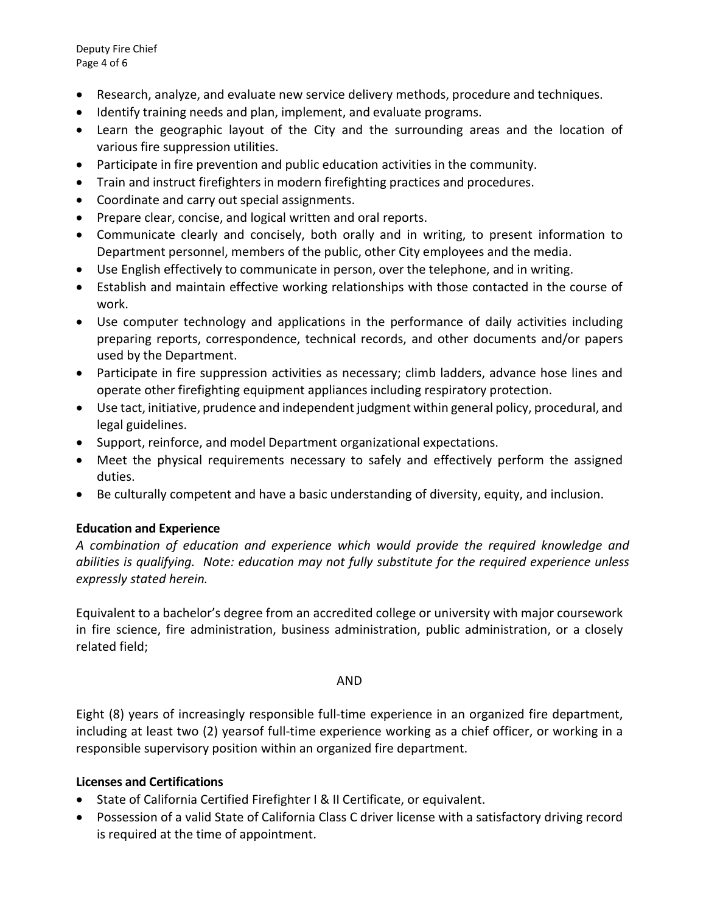Deputy Fire Chief Page 4 of 6

- Research, analyze, and evaluate new service delivery methods, procedure and techniques.
- Identify training needs and plan, implement, and evaluate programs.
- Learn the geographic layout of the City and the surrounding areas and the location of various fire suppression utilities.
- Participate in fire prevention and public education activities in the community.
- Train and instruct firefighters in modern firefighting practices and procedures.
- Coordinate and carry out special assignments.
- Prepare clear, concise, and logical written and oral reports.
- Communicate clearly and concisely, both orally and in writing, to present information to Department personnel, members of the public, other City employees and the media.
- Use English effectively to communicate in person, over the telephone, and in writing.
- Establish and maintain effective working relationships with those contacted in the course of work.
- Use computer technology and applications in the performance of daily activities including preparing reports, correspondence, technical records, and other documents and/or papers used by the Department.
- Participate in fire suppression activities as necessary; climb ladders, advance hose lines and operate other firefighting equipment appliances including respiratory protection.
- Use tact, initiative, prudence and independent judgment within general policy, procedural, and legal guidelines.
- Support, reinforce, and model Department organizational expectations.
- Meet the physical requirements necessary to safely and effectively perform the assigned duties.
- Be culturally competent and have a basic understanding of diversity, equity, and inclusion.

# **Education and Experience**

*A combination of education and experience which would provide the required knowledge and abilities is qualifying. Note: education may not fully substitute for the required experience unless expressly stated herein.* 

Equivalent to a bachelor's degree from an accredited college or university with major coursework in fire science, fire administration, business administration, public administration, or a closely related field;

## AND

Eight (8) years of increasingly responsible full-time experience in an organized fire department, including at least two (2) yearsof full-time experience working as a chief officer, or working in a responsible supervisory position within an organized fire department.

# **Licenses and Certifications**

- State of California Certified Firefighter I & II Certificate, or equivalent.
- Possession of a valid State of California Class C driver license with a satisfactory driving record is required at the time of appointment.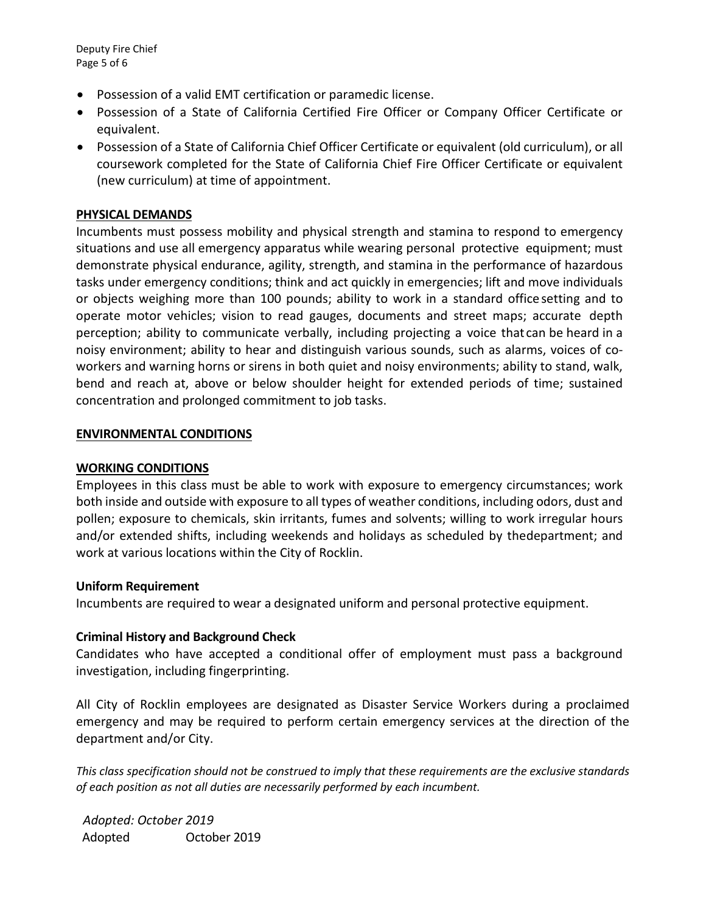Deputy Fire Chief Page 5 of 6

- Possession of a valid EMT certification or paramedic license.
- Possession of a State of California Certified Fire Officer or Company Officer Certificate or equivalent.
- Possession of a State of California Chief Officer Certificate or equivalent (old curriculum), or all coursework completed for the State of California Chief Fire Officer Certificate or equivalent (new curriculum) at time of appointment.

## **PHYSICAL DEMANDS**

Incumbents must possess mobility and physical strength and stamina to respond to emergency situations and use all emergency apparatus while wearing personal protective equipment; must demonstrate physical endurance, agility, strength, and stamina in the performance of hazardous tasks under emergency conditions; think and act quickly in emergencies; lift and move individuals or objects weighing more than 100 pounds; ability to work in a standard office setting and to operate motor vehicles; vision to read gauges, documents and street maps; accurate depth perception; ability to communicate verbally, including projecting a voice that can be heard in a noisy environment; ability to hear and distinguish various sounds, such as alarms, voices of coworkers and warning horns or sirens in both quiet and noisy environments; ability to stand, walk, bend and reach at, above or below shoulder height for extended periods of time; sustained concentration and prolonged commitment to job tasks.

## **ENVIRONMENTAL CONDITIONS**

## **WORKING CONDITIONS**

Employees in this class must be able to work with exposure to emergency circumstances; work both inside and outside with exposure to all types of weather conditions, including odors, dust and pollen; exposure to chemicals, skin irritants, fumes and solvents; willing to work irregular hours and/or extended shifts, including weekends and holidays as scheduled by thedepartment; and work at various locations within the City of Rocklin.

## **Uniform Requirement**

Incumbents are required to wear a designated uniform and personal protective equipment.

## **Criminal History and Background Check**

Candidates who have accepted a conditional offer of employment must pass a background investigation, including fingerprinting.

All City of Rocklin employees are designated as Disaster Service Workers during a proclaimed emergency and may be required to perform certain emergency services at the direction of the department and/or City.

*This class specification should not be construed to imply that these requirements are the exclusive standards of each position as not all duties are necessarily performed by each incumbent.* 

*Adopted: October 2019* Adopted October 2019